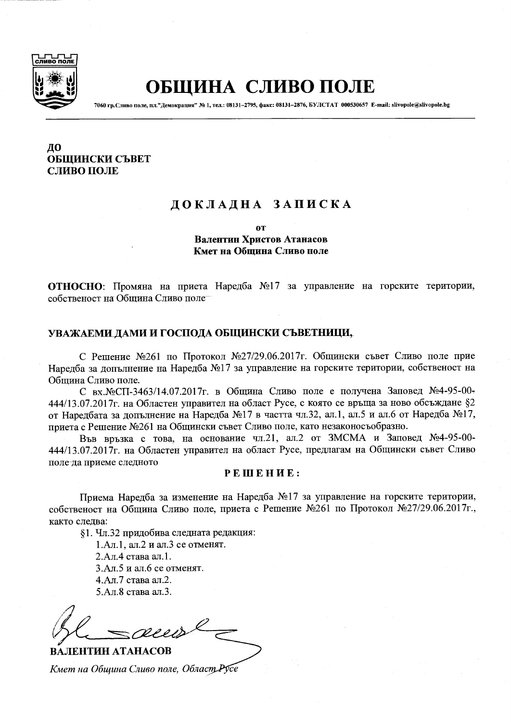

# ОБЩИНА СЛИВО ПОЛЕ

7060 гр. Сливо поле, пл. "Демокрация" № 1, тел.: 08131-2795, факс: 08131-2876, БУЛСТАТ 000530657 E-mail: slivopole@slivopole.bg

## ДО ОБШИНСКИ СЪВЕТ СЛИВО ПОЛЕ

# ДОКЛАДНА ЗАПИСКА

**OT** 

Валентин Христов Атанасов Кмет на Община Сливо поле

ОТНОСНО: Промяна на приета Наредба №17 за управление на горските територии, собственост на Община Сливо поле

### УВАЖАЕМИ ДАМИ И ГОСПОДА ОБЩИНСКИ СЪВЕТНИЦИ,

С Решение №261 по Протокол №27/29.06.2017г. Общински съвет Сливо поле прие Наредба за допълнение на Наредба №17 за управление на горските територии, собственост на Община Сливо поле.

С вх. №СП-3463/14.07.2017г. в Община Сливо поле е получена Заповед №4-95-00-444/13.07.2017г. на Областен управител на област Русе, с която се връща за ново обсъждане §2 от Наредбата за допълнение на Наредба №17 в частта чл.32, ал.1, ал.5 и ал.6 от Наредба №17. приета с Решение №261 на Общински съвет Сливо поле, като незаконосъобразно.

Във връзка с това, на основание чл.21, ал.2 от ЗМСМА и Заповед №4-95-00-444/13.07.2017г. на Областен управител на област Русе, предлагам на Общински съвет Сливо поле-да приеме следното

#### PEINEHUE:

Приема Наредба за изменение на Наредба №17 за управление на горските територии, собственост на Община Сливо поле, приета с Решение №261 по Протокол №27/29.06.2017г., както следва:

§1. Чл.32 придобива следната редакция:

1.Ал.1. ал.2 и ал.3 се отменят.

2.Ал.4 става ал.1. 3.Ал.5 и ал.6 се отменят.

4.Ал.7 става ал.2.

5.Ал.8 става ал.3.

ВАЛЕНТИН АТАНАСОВ Кмет на Община Сливо поле, Област Русе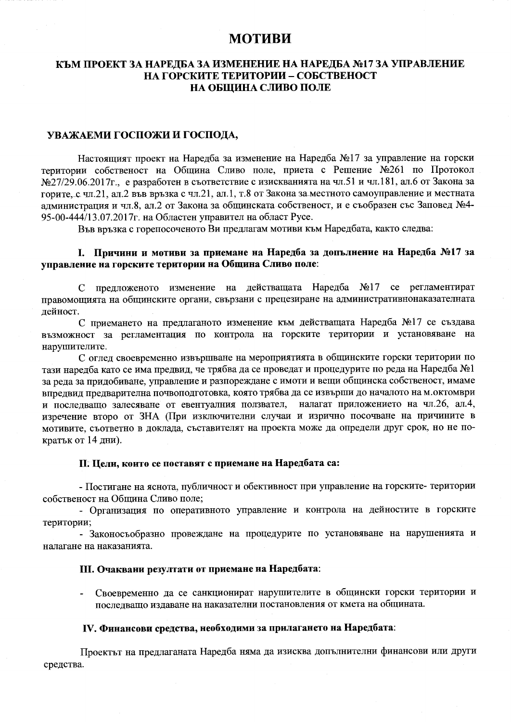# **МОТИВИ**

## КЪМ ПРОЕКТ ЗА НАРЕДБА ЗА ИЗМЕНЕНИЕ НА НАРЕДБА №17 ЗА УПРАВЛЕНИЕ НА ГОРСКИТЕ ТЕРИТОРИИ - СОБСТВЕНОСТ НА ОБЩИНА СЛИВО ПОЛЕ

#### УВАЖАЕМИ ГОСПОЖИ И ГОСПОДА,

Настоящият проект на Наредба за изменение на Наредба №17 за управление на горски територии собственост на Община Сливо поле, приета с Решение №261 по Протокол №27/29.06.2017г., е разработен в съответствие с изискванията на чл.51 и чл.181, ал.6 от Закона за горите, с чл.21, ал.2 във връзка с чл.21, ал.1, т.8 от Закона за местното самоуправление и местната администрация и чл.8, ал.2 от Закона за общинската собственост, и е съобразен със Заповед №4-95-00-444/13.07.2017г. на Областен управител на област Русе.

Във връзка с горепосоченото Ви предлагам мотиви към Наредбата, както следва:

## 1. Причини и мотиви за приемане на Наредба за допълнение на Наредба №17 за управление на горските територии на Община Сливо поле:

С предложеното изменение на действащата Наредба №17 се регламентират правомощията на общинските органи, свързани с прецезиране на административнонаказателната дейност.

С приемането на предлаганото изменение към действащата Наредба №17 се създава възможност за регламентация по контрола на горските територии и установяване на нарушителите.

С оглед своевременно извършване на мероприятията в общинските горски територии по тази наредба като се има предвид, че трябва да се проведат и процедурите по реда на Наредба №1 за реда за придобиване, управление и разпореждане с имоти и вещи общинска собственост, имаме впредвид предварителна почвоподготовка, която трябва да се извърши до началото на м.октомври и последващо залесяване от евентуалния ползвател, налагат приложението на чл.26, ал.4, изречение второ от ЗНА (При изключителни случаи и изрично посочване на причините в мотивите, съответно в доклада, съставителят на проекта може да определи друг срок, но не пократък от 14 дни).

#### П. Цели, които се поставят с приемане на Наредбата са:

- Постигане на яснота, публичност и обективност при управление на горските- територии собственост на Община Сливо поле;

- Организация по оперативното управление и контрола на дейностите в горските територии;

- Законосъобразно провеждане на процедурите по установяване на нарушенията и налагане на наказанията.

#### III. Очаквани резултати от приемане на Наредбата:

Своевременно да се санкционират нарушителите в общински горски територии и последващо издаване на наказателни постановления от кмета на общината.

#### IV. Финансови средства, необходими за прилагането на Наредбата:

Проектът на предлаганата Наредба няма да изисква допълнителни финансови или други средства.